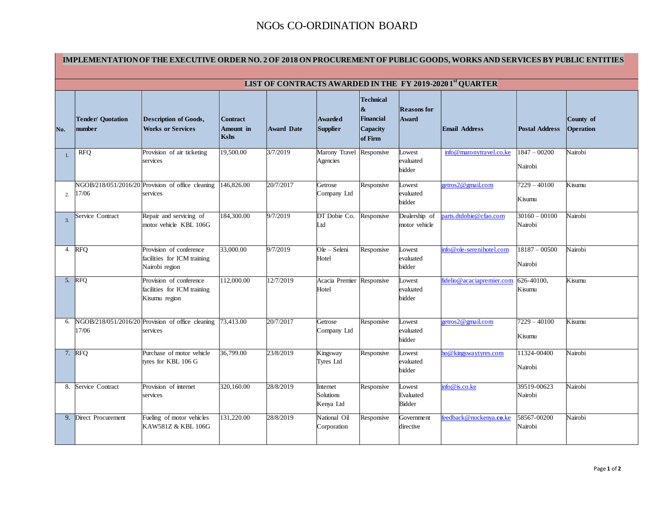## NGOs CO-ORDINATION BOARD

| IMPLEMENTATION OF THE EXECUTIVE ORDER NO. 2 OF 2018 ON PROCUREMENT OF PUBLIC GOODS, WORKS AND SERVICES BY PUBLIC ENTITIES |                                    |                                                                          |                                             |                   |                                           |                                                                         |                                      |                           |                            |                        |  |  |
|---------------------------------------------------------------------------------------------------------------------------|------------------------------------|--------------------------------------------------------------------------|---------------------------------------------|-------------------|-------------------------------------------|-------------------------------------------------------------------------|--------------------------------------|---------------------------|----------------------------|------------------------|--|--|
| LIST OF CONTRACTS AWARDED IN THE FY 2019-20201 <sup>st</sup> QUARTER                                                      |                                    |                                                                          |                                             |                   |                                           |                                                                         |                                      |                           |                            |                        |  |  |
| No.                                                                                                                       | <b>Tender/ Quotation</b><br>number | <b>Description of Goods,</b><br><b>Works or Services</b>                 | <b>Contract</b><br>Amount in<br><b>Kshs</b> | <b>Award Date</b> | <b>Awarded</b><br><b>Supplier</b>         | <b>Technical</b><br>&<br><b>Financial</b><br><b>Capacity</b><br>of Firm | <b>Reasons</b> for<br><b>Award</b>   | <b>Email Address</b>      | <b>Postal Address</b>      | County of<br>Operation |  |  |
|                                                                                                                           | <b>RFQ</b>                         | Provision of air ticketing<br>services                                   | 19,500.00                                   | $\sqrt{37/2019}$  | Marony Travel Responsive<br>Agencies      |                                                                         | Lowest<br>evaluated<br>bidder        | info@maronytravel.co.ke   | $1847 - 00200$<br>Nairobi  | Nairobi                |  |  |
| 2.                                                                                                                        | 17/06                              | NGOB/218/051/2016/20 Provision of office cleaning<br>services            | 146,826.00                                  | 20/7/2017         | Getrose<br>Company Ltd                    | Responsive                                                              | Lowest<br>evaluated<br>bidder        | getros2@gmail.com         | $7229 - 40100$<br>Kisumu   | Kisumu                 |  |  |
|                                                                                                                           | Service Contract                   | Repair and servicing of<br>motor vehicle KBL 106G                        | 184,300.00                                  | 9/7/2019          | DT Dobie Co.<br>Ltd                       | Responsive                                                              | Dealership of<br>motor vehicle       | parts.dtdobie@cfao.com    | $30160 - 00100$<br>Nairobi | Nairobi                |  |  |
| 4.                                                                                                                        | <b>RFQ</b>                         | Provision of conference<br>facilities for ICM training<br>Nairobi region | 33,000.00                                   | 9/7/2019          | Ole - Seleni<br>Hotel                     | Responsive                                                              | Lowest<br>evaluated<br>bidder        | info@ole-serenihotel.com  | $18187 - 00500$<br>Nairobi | Nairobi                |  |  |
| 5.                                                                                                                        | <b>RFQ</b>                         | Provision of conference<br>facilities for ICM training<br>Kisumu region  | 112,000.00                                  | 12/7/2019         | Acacia Premier Responsive<br>Hotel        |                                                                         | Lowest<br>evaluated<br>bidder        | fidelio@acaciapremier.com | 626-40100,<br>Kisumu       | Kisumu                 |  |  |
| 6.                                                                                                                        | 17/06                              | NGOB/218/051/2016/20 Provision of office cleaning 73,413.00<br>services  |                                             | 20/7/2017         | Getrose<br>Company Ltd                    | Responsive                                                              | Lowest<br>evaluated<br>bidder        | getros2@gmail.com         | $7229 - 40100$<br>Kisumu   | Kisumu                 |  |  |
| 7.                                                                                                                        | <b>RFQ</b>                         | Purchase of motor vehicle<br>tyres for KBL 106 G                         | 36,799.00                                   | 23/8/2019         | Kingsway<br>Tyres Ltd                     | Responsive                                                              | Lowest<br>evaluated<br>bidder        | ho@kingswaytyres.com      | 11324-00400<br>Nairobi     | Nairobi                |  |  |
| 8.                                                                                                                        | Service Contract                   | Provision of internet<br>services                                        | 320,160.00                                  | 28/8/2019         | Internet<br><b>Solutions</b><br>Kenya Ltd | Responsive                                                              | Lowest<br>Evaluated<br><b>Bidder</b> | $info@$ is.co.ke          | 39519-00623<br>Nairobi     | Nairobi                |  |  |
| 9.                                                                                                                        | Direct Procurement                 | Fueling of motor vehicles<br>KAW581Z & KBL 106G                          | 131,220.00                                  | 28/8/2019         | National Oil<br>Corporation               | Responsive                                                              | Government<br>directive              | feedback@nockenya.co.ke   | 58567-00200<br>Nairobi     | Nairobi                |  |  |